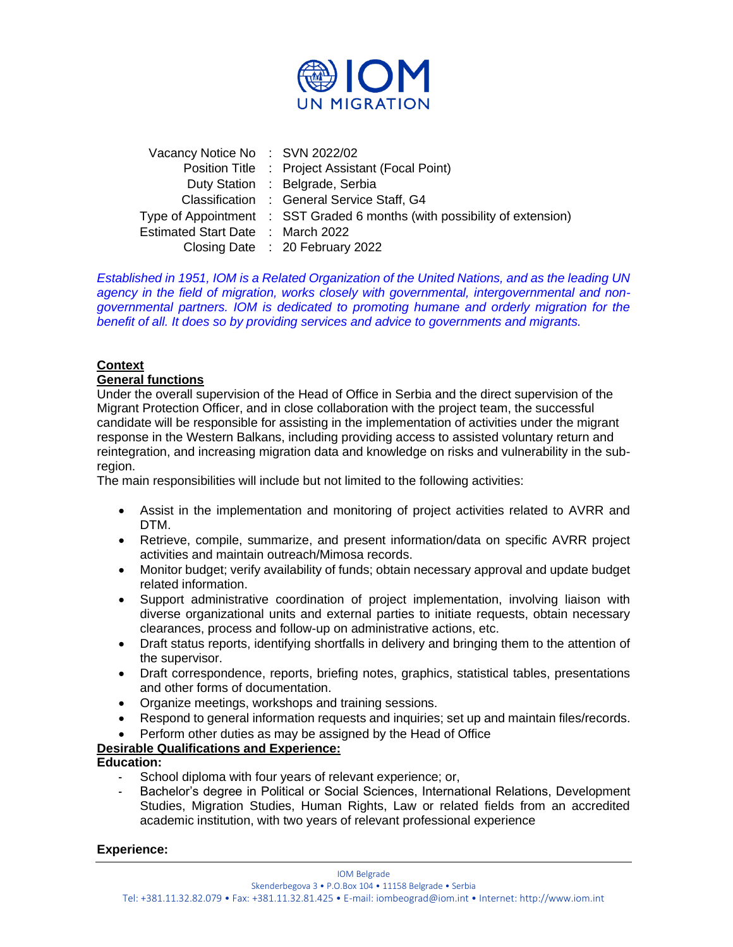

| Vacancy Notice No: SVN 2022/02                                            |
|---------------------------------------------------------------------------|
| Position Title : Project Assistant (Focal Point)                          |
| Duty Station : Belgrade, Serbia                                           |
| Classification : General Service Staff, G4                                |
| Type of Appointment : SST Graded 6 months (with possibility of extension) |
| Estimated Start Date : March 2022                                         |
| Closing Date : 20 February 2022                                           |
|                                                                           |

*Established in 1951, IOM is a Related Organization of the United Nations, and as the leading UN agency in the field of migration, works closely with governmental, intergovernmental and nongovernmental partners. IOM is dedicated to promoting humane and orderly migration for the benefit of all. It does so by providing services and advice to governments and migrants.*

# **Context**

## **General functions**

Under the overall supervision of the Head of Office in Serbia and the direct supervision of the Migrant Protection Officer, and in close collaboration with the project team, the successful candidate will be responsible for assisting in the implementation of activities under the migrant response in the Western Balkans, including providing access to assisted voluntary return and reintegration, and increasing migration data and knowledge on risks and vulnerability in the subregion.

The main responsibilities will include but not limited to the following activities:

- Assist in the implementation and monitoring of project activities related to AVRR and DTM.
- Retrieve, compile, summarize, and present information/data on specific AVRR project activities and maintain outreach/Mimosa records.
- Monitor budget; verify availability of funds; obtain necessary approval and update budget related information.
- Support administrative coordination of project implementation, involving liaison with diverse organizational units and external parties to initiate requests, obtain necessary clearances, process and follow-up on administrative actions, etc.
- Draft status reports, identifying shortfalls in delivery and bringing them to the attention of the supervisor.
- Draft correspondence, reports, briefing notes, graphics, statistical tables, presentations and other forms of documentation.
- Organize meetings, workshops and training sessions.
- Respond to general information requests and inquiries; set up and maintain files/records.
- Perform other duties as may be assigned by the Head of Office

#### **Desirable Qualifications and Experience:**

**Education:**

- School diploma with four years of relevant experience; or,
- Bachelor's degree in Political or Social Sciences, International Relations, Development Studies, Migration Studies, Human Rights, Law or related fields from an accredited academic institution, with two years of relevant professional experience

#### **Experience:**